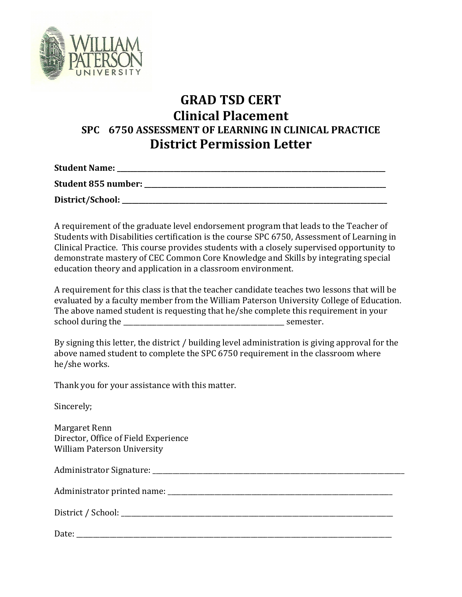

## **GRAD TSD CERT Clinical Placement SPC 6750 ASSESSMENT OF LEARNING IN CLINICAL PRACTICE District Permission Letter**

**Student Name: \_\_\_\_\_\_\_\_\_\_\_\_\_\_\_\_\_\_\_\_\_\_\_\_\_\_\_\_\_\_\_\_\_\_\_\_\_\_\_\_\_\_\_\_\_\_\_\_\_\_\_\_\_\_\_\_\_\_\_\_\_\_\_\_\_\_\_\_\_\_\_\_\_\_\_\_\_\_\_\_**

**Student 855 number: \_\_\_\_\_\_\_\_\_\_\_\_\_\_\_\_\_\_\_\_\_\_\_\_\_\_\_\_\_\_\_\_\_\_\_\_\_\_\_\_\_\_\_\_\_\_\_\_\_\_\_\_\_\_\_\_\_\_\_\_\_\_\_\_\_\_\_\_\_\_\_\_**

District/School:

A requirement of the graduate level endorsement program that leads to the Teacher of Students with Disabilities certification is the course SPC 6750, Assessment of Learning in Clinical Practice. This course provides students with a closely supervised opportunity to demonstrate mastery of CEC Common Core Knowledge and Skills by integrating special education theory and application in a classroom environment.

A requirement for this class is that the teacher candidate teaches two lessons that will be evaluated by a faculty member from the William Paterson University College of Education. The above named student is requesting that he/she complete this requirement in your school during the semester.

By signing this letter, the district / building level administration is giving approval for the above named student to complete the SPC 6750 requirement in the classroom where he/she works.

Thank you for your assistance with this matter.

Sincerely;

Margaret Renn Director, Office of Field Experience William Paterson University

Administrator Signature: \_\_\_\_\_\_\_\_\_\_\_\_\_\_\_\_\_\_\_\_\_\_\_\_\_\_\_\_\_\_\_\_\_\_\_\_\_\_\_\_\_\_\_\_\_\_\_\_\_\_\_\_\_\_\_\_\_\_\_\_\_\_\_\_\_\_\_\_\_\_\_\_\_\_\_

Administrator printed name: \_\_\_\_\_\_\_\_\_\_\_\_\_\_\_\_\_\_\_\_\_\_\_\_\_\_\_\_\_\_\_\_\_\_\_\_\_\_\_\_\_\_\_\_\_\_\_\_\_\_\_\_\_\_\_\_\_\_\_\_\_\_\_\_\_\_\_

District / School: \_\_\_\_\_\_\_\_\_\_\_\_\_\_\_\_\_\_\_\_\_\_\_\_\_\_\_\_\_\_\_\_\_\_\_\_\_\_\_\_\_\_\_\_\_\_\_\_\_\_\_\_\_\_\_\_\_\_\_\_\_\_\_\_\_\_\_\_\_\_\_\_\_\_\_\_\_\_\_\_\_

| $\mathbf{r}$<br>Date: |  |  |  |
|-----------------------|--|--|--|
|                       |  |  |  |